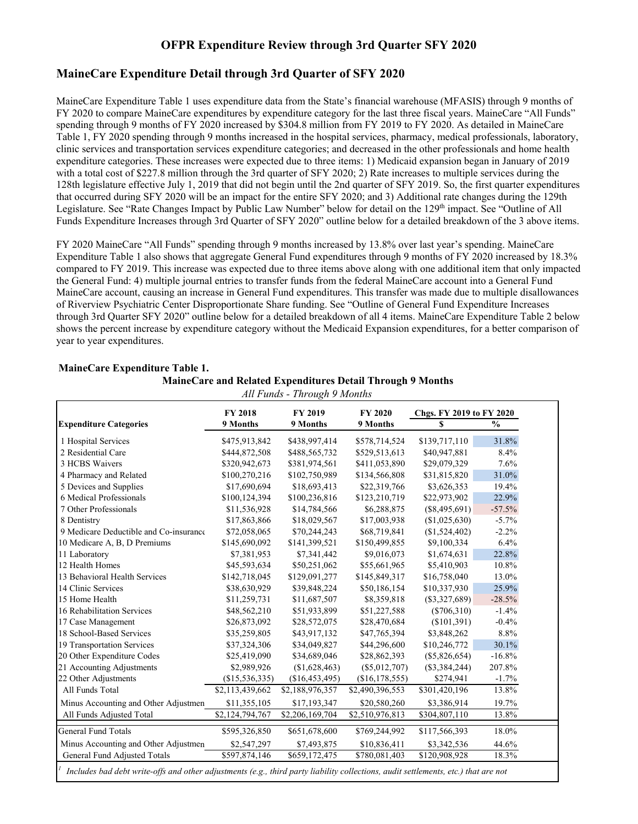## **OFPR Expenditure Review through 3rd Quarter SFY 2020**

## **MaineCare Expenditure Detail through 3rd Quarter of SFY 2020**

MaineCare Expenditure Table 1 uses expenditure data from the State's financial warehouse (MFASIS) through 9 months of FY 2020 to compare MaineCare expenditures by expenditure category for the last three fiscal years. MaineCare "All Funds" spending through 9 months of FY 2020 increased by \$304.8 million from FY 2019 to FY 2020. As detailed in MaineCare Table 1, FY 2020 spending through 9 months increased in the hospital services, pharmacy, medical professionals, laboratory, clinic services and transportation services expenditure categories; and decreased in the other professionals and home health expenditure categories. These increases were expected due to three items: 1) Medicaid expansion began in January of 2019 with a total cost of \$227.8 million through the 3rd quarter of SFY 2020; 2) Rate increases to multiple services during the 128th legislature effective July 1, 2019 that did not begin until the 2nd quarter of SFY 2019. So, the first quarter expenditures that occurred during SFY 2020 will be an impact for the entire SFY 2020; and 3) Additional rate changes during the 129th Legislature. See "Rate Changes Impact by Public Law Number" below for detail on the 129<sup>th</sup> impact. See "Outline of All Funds Expenditure Increases through 3rd Quarter of SFY 2020" outline below for a detailed breakdown of the 3 above items.

FY 2020 MaineCare "All Funds" spending through 9 months increased by 13.8% over last year's spending. MaineCare Expenditure Table 1 also shows that aggregate General Fund expenditures through 9 months of FY 2020 increased by 18.3% compared to FY 2019. This increase was expected due to three items above along with one additional item that only impacted the General Fund: 4) multiple journal entries to transfer funds from the federal MaineCare account into a General Fund MaineCare account, causing an increase in General Fund expenditures. This transfer was made due to multiple disallowances of Riverview Psychiatric Center Disproportionate Share funding. See "Outline of General Fund Expenditure Increases through 3rd Quarter SFY 2020" outline below for a detailed breakdown of all 4 items. MaineCare Expenditure Table 2 below shows the percent increase by expenditure category without the Medicaid Expansion expenditures, for a better comparison of year to year expenditures.

|                                        | <b>FY 2018</b>  | FY 2019                   | <b>FY 2020</b>  | Chgs. FY 2019 to FY 2020  |               |  |
|----------------------------------------|-----------------|---------------------------|-----------------|---------------------------|---------------|--|
| <b>Expenditure Categories</b>          | 9 Months        | 9 Months                  | 9 Months        | \$.                       | $\frac{0}{0}$ |  |
| 1 Hospital Services                    | \$475,913,842   | \$438,997,414             | \$578,714,524   | \$139,717,110             | 31.8%         |  |
| 2 Residential Care                     | \$444,872,508   | \$488,565,732             | \$529,513,613   | \$40,947,881              | 8.4%          |  |
| 3 HCBS Waivers                         | \$320,942,673   | \$381,974,561             | \$411,053,890   | \$29,079,329              | 7.6%          |  |
| 4 Pharmacy and Related                 | \$100,270,216   | \$102,750,989             | \$134,566,808   | \$31,815,820              | 31.0%         |  |
| 5 Devices and Supplies                 | \$17,690,694    | \$18,693,413              | \$22,319,766    | \$3,626,353               | 19.4%         |  |
| 6 Medical Professionals                | \$100,124,394   | \$100,236,816             | \$123,210,719   | \$22,973,902              | 22.9%         |  |
| 7 Other Professionals                  | \$11,536,928    | \$14,784,566              | \$6,288,875     | $(\$8,495,691)$           | $-57.5%$      |  |
| 8 Dentistry                            | \$17,863,866    | \$18,029,567              | \$17,003,938    | (\$1,025,630)             | $-5.7\%$      |  |
| 9 Medicare Deductible and Co-insurance | \$72,058,065    | \$70,244,243              | \$68,719,841    | (\$1,524,402)             | $-2.2%$       |  |
| 10 Medicare A, B, D Premiums           | \$145,690,092   | \$141,399,521             | \$150,499,855   | \$9,100,334               | 6.4%          |  |
| 11 Laboratory                          | \$7,381,953     | \$7,341,442               | \$9,016,073     | \$1,674,631               | 22.8%         |  |
| 12 Health Homes                        | \$45,593,634    | \$50,251,062              | \$55,661,965    | \$5,410,903               | 10.8%         |  |
| 13 Behavioral Health Services          | \$142,718,045   | \$129,091,277             | \$145,849,317   | \$16,758,040              | 13.0%         |  |
| 14 Clinic Services                     | \$38,630,929    | \$39,848,224              | \$50,186,154    | \$10,337,930              | 25.9%         |  |
| 15 Home Health                         | \$11,259,731    | \$11,687,507              | \$8,359,818     | $(\$3,327,689)$           | $-28.5%$      |  |
| 16 Rehabilitation Services             | \$48,562,210    | \$51,933,899              | \$51,227,588    | $(\$706,310)$             | $-1.4%$       |  |
| 17 Case Management                     | \$26,873,092    | \$28,572,075              | \$28,470,684    | (\$101,391)               | $-0.4%$       |  |
| 18 School-Based Services               | \$35,259,805    | \$43,917,132              | \$47,765,394    | \$3,848,262               | 8.8%          |  |
| 19 Transportation Services             | \$37,324,306    | \$34,049,827              | \$44,296,600    | \$10,246,772              | 30.1%         |  |
| 20 Other Expenditure Codes             | \$25,419,090    | \$34,689,046              | \$28,862,393    | $(\$5,826,654)$           | $-16.8%$      |  |
| 21 Accounting Adjustments              | \$2,989,926     | (\$1,628,463)             | $(\$5,012,707)$ | $(\$3,384,244)$           | 207.8%        |  |
| 22 Other Adjustments                   | (\$15,536,335)  | (\$16,453,495)            | (\$16,178,555)  | \$274,941                 | $-1.7%$       |  |
| All Funds Total                        | \$2,113,439,662 | \$2,188,976,357           | \$2,490,396,553 | \$301,420,196             | 13.8%         |  |
| Minus Accounting and Other Adjustmen   | \$11,355,105    | \$17,193,347              | \$20,580,260    | \$3,386,914               | 19.7%         |  |
| All Funds Adjusted Total               | \$2,124,794,767 | \$2,206,169,704           | \$2,510,976,813 | \$304,807,110             | 13.8%         |  |
| <b>General Fund Totals</b>             | \$595,326,850   | \$651,678,600             | \$769,244,992   | \$117,566,393             | 18.0%         |  |
| Minus Accounting and Other Adjustmen   | \$2,547,297     | \$7,493,875               | \$10,836,411    | \$3,342,536               | 44.6%         |  |
| General Fund Adjusted Totals           | \$597,874,146   | $\overline{$659,172,475}$ | \$780,081,403   | $\overline{$120,908,928}$ | 18.3%         |  |

### **MaineCare Expenditure Table 1. MaineCare and Related Expenditures Detail Through 9 Months**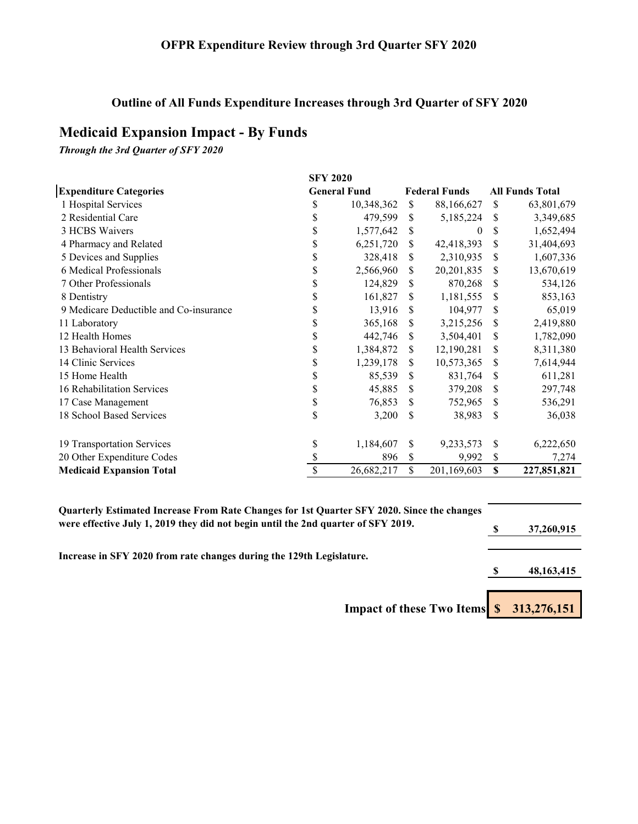# **Outline of All Funds Expenditure Increases through 3rd Quarter of SFY 2020**

# **Medicaid Expansion Impact - By Funds**

*Through the 3rd Quarter of SFY 2020*

|                                        | <b>SFY 2020</b>     |            |              |                      |    |                        |
|----------------------------------------|---------------------|------------|--------------|----------------------|----|------------------------|
| <b>Expenditure Categories</b>          | <b>General Fund</b> |            |              | <b>Federal Funds</b> |    | <b>All Funds Total</b> |
| 1 Hospital Services                    | \$                  | 10,348,362 | <sup>S</sup> | 88,166,627           | S  | 63,801,679             |
| 2 Residential Care                     | \$                  | 479,599    | S            | 5,185,224            | S  | 3,349,685              |
| 3 HCBS Waivers                         | \$                  | 1,577,642  | S            | 0                    | S  | 1,652,494              |
| 4 Pharmacy and Related                 | \$                  | 6,251,720  | \$.          | 42,418,393           | \$ | 31,404,693             |
| 5 Devices and Supplies                 | \$                  | 328,418    | \$           | 2,310,935            | \$ | 1,607,336              |
| 6 Medical Professionals                | \$                  | 2,566,960  | S            | 20,201,835           | \$ | 13,670,619             |
| 7 Other Professionals                  | S                   | 124,829    | \$           | 870,268              | \$ | 534,126                |
| 8 Dentistry                            | \$                  | 161,827    | S            | 1,181,555            | \$ | 853,163                |
| 9 Medicare Deductible and Co-insurance | \$                  | 13,916     | <b>S</b>     | 104,977              | S  | 65,019                 |
| 11 Laboratory                          | \$                  | 365,168    | S            | 3,215,256            | S  | 2,419,880              |
| 12 Health Homes                        | \$                  | 442,746    | \$.          | 3,504,401            | \$ | 1,782,090              |
| 13 Behavioral Health Services          | S                   | 1,384,872  | \$           | 12,190,281           | \$ | 8,311,380              |
| 14 Clinic Services                     | \$                  | 1,239,178  | S            | 10,573,365           | S  | 7,614,944              |
| 15 Home Health                         | \$                  | 85,539     | \$           | 831,764              | S  | 611,281                |
| 16 Rehabilitation Services             | \$                  | 45,885     | \$           | 379,208              | \$ | 297,748                |
| 17 Case Management                     | \$                  | 76,853     | S            | 752,965              | \$ | 536,291                |
| 18 School Based Services               | \$                  | 3,200      | \$           | 38,983               | \$ | 36,038                 |
| 19 Transportation Services             | \$                  | 1,184,607  | \$           | 9,233,573            | \$ | 6,222,650              |
| 20 Other Expenditure Codes             | \$                  | 896        | \$           | 9,992                | \$ | 7,274                  |
| <b>Medicaid Expansion Total</b>        | S                   | 26,682,217 | \$           | 201,169,603          | \$ | 227,851,821            |

| Quarterly Estimated Increase From Rate Changes for 1st Quarter SFY 2020. Since the changes |  |              |
|--------------------------------------------------------------------------------------------|--|--------------|
| were effective July 1, 2019 they did not begin until the 2nd quarter of SFY 2019.          |  | 37,260,915   |
|                                                                                            |  |              |
| Increase in SFY 2020 from rate changes during the 129th Legislature.                       |  |              |
|                                                                                            |  | 48, 163, 415 |
|                                                                                            |  |              |
| Impact of these Two Items \$ 313,276,151                                                   |  |              |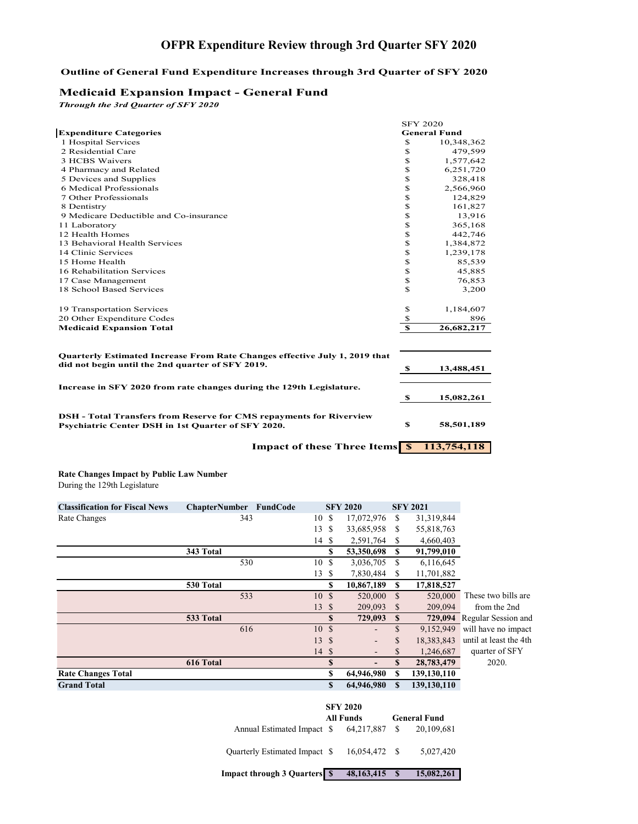# **OFPR Expenditure Review through 3rd Quarter SFY 2020**

### **Outline of General Fund Expenditure Increases through 3rd Quarter of SFY 2020**

### **Medicaid Expansion Impact - General Fund**

*Through the 3rd Quarter of SFY 2020*

|                                                                                                                                  |                     | <b>SFY 2020</b> |  |  |  |
|----------------------------------------------------------------------------------------------------------------------------------|---------------------|-----------------|--|--|--|
| <b>Expenditure Categories</b>                                                                                                    | <b>General Fund</b> |                 |  |  |  |
| 1 Hospital Services                                                                                                              | \$                  | 10,348,362      |  |  |  |
| 2 Residential Care                                                                                                               | \$                  | 479,599         |  |  |  |
| <b>3 HCBS Waivers</b>                                                                                                            | \$                  | 1,577,642       |  |  |  |
| 4 Pharmacy and Related                                                                                                           | \$                  | 6,251,720       |  |  |  |
| 5 Devices and Supplies                                                                                                           | \$                  | 328,418         |  |  |  |
| 6 Medical Professionals                                                                                                          | \$                  | 2,566,960       |  |  |  |
| 7 Other Professionals                                                                                                            | \$                  | 124,829         |  |  |  |
| 8 Dentistry                                                                                                                      | \$                  | 161,827         |  |  |  |
| 9 Medicare Deductible and Co-insurance                                                                                           | \$                  | 13,916          |  |  |  |
| 11 Laboratory                                                                                                                    | \$                  | 365,168         |  |  |  |
| 12 Health Homes                                                                                                                  | \$                  | 442,746         |  |  |  |
| 13 Behavioral Health Services                                                                                                    | \$                  | 1,384,872       |  |  |  |
| 14 Clinic Services                                                                                                               | \$                  | 1,239,178       |  |  |  |
| 15 Home Health                                                                                                                   | \$                  | 85,539          |  |  |  |
| 16 Rehabilitation Services                                                                                                       | \$                  | 45,885          |  |  |  |
| 17 Case Management                                                                                                               | \$                  | 76,853          |  |  |  |
| 18 School Based Services                                                                                                         | \$                  | 3,200           |  |  |  |
| 19 Transportation Services                                                                                                       | \$                  | 1,184,607       |  |  |  |
| 20 Other Expenditure Codes                                                                                                       | \$                  | 896             |  |  |  |
| <b>Medicaid Expansion Total</b>                                                                                                  | $\mathbf s$         | 26,682,217      |  |  |  |
| Quarterly Estimated Increase From Rate Changes effective July 1, 2019 that<br>did not begin until the 2nd quarter of SFY 2019.   | - \$                | 13,488,451      |  |  |  |
| Increase in SFY 2020 from rate changes during the 129th Legislature.                                                             | - \$                | 15,082,261      |  |  |  |
| <b>DSH</b> - Total Transfers from Reserve for CMS repayments for Riverview<br>Psychiatric Center DSH in 1st Quarter of SFY 2020. | \$                  | 58,501,189      |  |  |  |
| <b>Impact of these Three Items</b> S                                                                                             |                     | 113,754,118     |  |  |  |

**Rate Changes Impact by Public Law Number** During the 129th Legislature

| <b>Classification for Fiscal News</b> | <b>ChapterNumber</b><br>FundCode |       |               | <b>SFY 2020</b>              |              | <b>SFY 2021</b> |                             |
|---------------------------------------|----------------------------------|-------|---------------|------------------------------|--------------|-----------------|-----------------------------|
| Rate Changes                          | 343                              | 10S   |               | 17,072,976                   | S            | 31,319,844      |                             |
|                                       |                                  | 13    | <sup>\$</sup> | 33,685,958                   | S            | 55,818,763      |                             |
|                                       |                                  | 14 \$ |               | 2,591,764                    | S            | 4,660,403       |                             |
|                                       | 343 Total                        |       | S             | 53,350,698                   | S            | 91,799,010      |                             |
|                                       | 530                              | 10    | S             | 3,036,705                    | \$           | 6,116,645       |                             |
|                                       |                                  | 13S   |               | 7,830,484                    | S            | 11,701,882      |                             |
|                                       | 530 Total                        |       | S             | 10,867,189                   | S            | 17,818,527      |                             |
|                                       | 533                              | 10    | <sup>\$</sup> | 520,000                      | \$           | 520,000         | These two bills are         |
|                                       |                                  | 13S   |               | 209,093                      | S            | 209,094         | from the 2nd                |
|                                       | 533 Total                        |       | S             | 729,093                      | S            |                 | 729,094 Regular Session and |
|                                       | 616                              | 10    | $\mathbf{s}$  | $\qquad \qquad \blacksquare$ | $\mathbf{s}$ | 9,152,949       | will have no impact         |
|                                       |                                  | 13S   |               |                              | S            | 18,383,843      | until at least the 4th      |
|                                       |                                  | 14S   |               | $\overline{\phantom{a}}$     | S            | 1,246,687       | quarter of SFY              |
|                                       | 616 Total                        |       | S             | $\overline{\phantom{a}}$     | \$.          | 28,783,479      | 2020.                       |
| <b>Rate Changes Total</b>             |                                  |       | S             | 64,946,980                   | S            | 139,130,110     |                             |
| <b>Grand Total</b>                    |                                  |       | \$            | 64,946,980                   | \$           | 139,130,110     |                             |

|                                          | <b>SFY 2020</b> | <b>All Funds</b> | <b>General Fund</b> |            |  |  |
|------------------------------------------|-----------------|------------------|---------------------|------------|--|--|
| Annual Estimated Impact \$ 64,217,887 \$ |                 |                  |                     | 20,109,681 |  |  |
| Quarterly Estimated Impact \$            |                 | 16,054,472 \$    |                     | 5,027,420  |  |  |
| <b>Impact through 3 Quarters S</b>       |                 | 48, 163, 415     | <b>S</b>            | 15,082,261 |  |  |